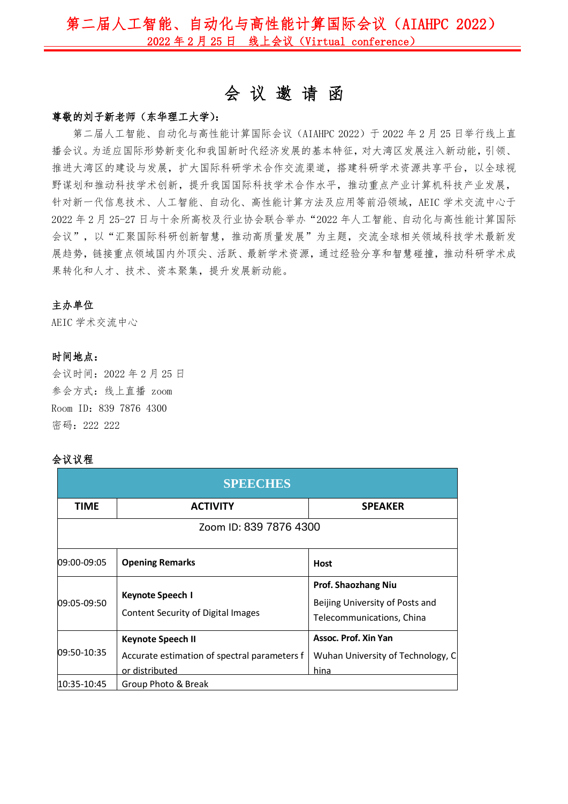## 第二届人工智能、自动化与高性能计算国际会议(AIAHPC 2022) 2022 年 2 月 25 日 线上会议(Virtual conference)

# 会 议 邀 请 函

#### 尊敬的刘子新老师(东华理工大学):

第二届人工智能、自动化与高性能计算国际会议(AIAHPC 2022)于 2022 年 2 月 25 日举行线上直 播会议。为适应国际形势新变化和我国新时代经济发展的基本特征,对大湾区发展注入新动能,引领、 推进大湾区的建设与发展,扩大国际科研学术合作交流渠道,搭建科研学术资源共享平台,以全球视 野谋划和推动科技学术创新,提升我国国际科技学术合作水平,推动重点产业计算机科技产业发展, 针对新一代信息技术、人工智能、自动化、高性能计算方法及应用等前沿领域,AEIC 学术交流中心于 2022 年 2 月 25-27 日与十余所高校及行业协会联合举办"2022 年人工智能、自动化与高性能计算国际 会议",以"汇聚国际科研创新智慧,推动高质量发展"为主题,交流全球相关领域科技学术最新发 展趋势,链接重点领域国内外顶尖、活跃、最新学术资源,通过经验分享和智慧碰撞,推动科研学术成 果转化和人才、技术、资本聚集,提升发展新动能。

#### 主办单位

AEIC 学术交流中心

#### 时间地点:

会议时间:2022 年 2 月 25 日 参会方式:线上直播 zoom Room ID:839 7876 4300 密码:222 222

#### 会议议程

| <b>SPEECHES</b>        |                                                                                     |                                                                                            |  |  |
|------------------------|-------------------------------------------------------------------------------------|--------------------------------------------------------------------------------------------|--|--|
| TIME                   | <b>ACTIVITY</b>                                                                     | <b>SPEAKER</b>                                                                             |  |  |
| Zoom ID: 839 7876 4300 |                                                                                     |                                                                                            |  |  |
| 09:00-09:05            | <b>Opening Remarks</b>                                                              | <b>Host</b>                                                                                |  |  |
| 09:05-09:50            | Keynote Speech I<br>Content Security of Digital Images                              | <b>Prof. Shaozhang Niu</b><br>Beijing University of Posts and<br>Telecommunications, China |  |  |
| 09:50-10:35            | Keynote Speech II<br>Accurate estimation of spectral parameters f<br>or distributed | Assoc. Prof. Xin Yan<br>Wuhan University of Technology, C<br>hina                          |  |  |
| 10:35-10:45            | Group Photo & Break                                                                 |                                                                                            |  |  |